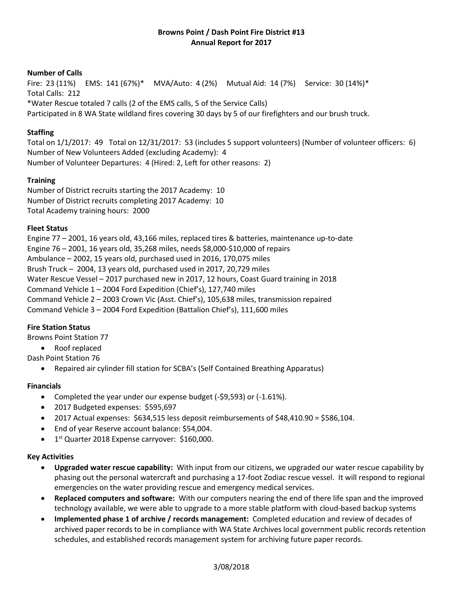# **Browns Point / Dash Point Fire District #13 Annual Report for 2017**

#### **Number of Calls**

Fire: 23 (11%) EMS: 141 (67%)\* MVA/Auto: 4 (2%) Mutual Aid: 14 (7%) Service: 30 (14%)\* Total Calls: 212 \*Water Rescue totaled 7 calls (2 of the EMS calls, 5 of the Service Calls) Participated in 8 WA State wildland fires covering 30 days by 5 of our firefighters and our brush truck.

# **Staffing**

Total on 1/1/2017: 49 Total on 12/31/2017: 53 (includes 5 support volunteers) (Number of volunteer officers: 6) Number of New Volunteers Added (excluding Academy): 4 Number of Volunteer Departures: 4 (Hired: 2, Left for other reasons: 2)

### **Training**

Number of District recruits starting the 2017 Academy: 10 Number of District recruits completing 2017 Academy: 10 Total Academy training hours: 2000

### **Fleet Status**

Engine 77 – 2001, 16 years old, 43,166 miles, replaced tires & batteries, maintenance up-to-date Engine 76 – 2001, 16 years old, 35,268 miles, needs \$8,000-\$10,000 of repairs Ambulance – 2002, 15 years old, purchased used in 2016, 170,075 miles Brush Truck – 2004, 13 years old, purchased used in 2017, 20,729 miles Water Rescue Vessel – 2017 purchased new in 2017, 12 hours, Coast Guard training in 2018 Command Vehicle 1 – 2004 Ford Expedition (Chief's), 127,740 miles Command Vehicle 2 – 2003 Crown Vic (Asst. Chief's), 105,638 miles, transmission repaired Command Vehicle 3 – 2004 Ford Expedition (Battalion Chief's), 111,600 miles

# **Fire Station Status**

Browns Point Station 77

- Roof replaced
- Dash Point Station 76
	- Repaired air cylinder fill station for SCBA's (Self Contained Breathing Apparatus)

#### **Financials**

- Completed the year under our expense budget (-\$9,593) or (-1.61%).
- 2017 Budgeted expenses: \$595,697
- 2017 Actual expenses:  $$634,515$  less deposit reimbursements of  $$48,410.90 = $586,104$ .
- End of year Reserve account balance: \$54,004.
- 1<sup>st</sup> Quarter 2018 Expense carryover: \$160,000.

#### **Key Activities**

- **Upgraded water rescue capability:** With input from our citizens, we upgraded our water rescue capability by phasing out the personal watercraft and purchasing a 17-foot Zodiac rescue vessel. It will respond to regional emergencies on the water providing rescue and emergency medical services.
- **Replaced computers and software:** With our computers nearing the end of there life span and the improved technology available, we were able to upgrade to a more stable platform with cloud-based backup systems
- **Implemented phase 1 of archive / records management:** Completed education and review of decades of archived paper records to be in compliance with WA State Archives local government public records retention schedules, and established records management system for archiving future paper records.